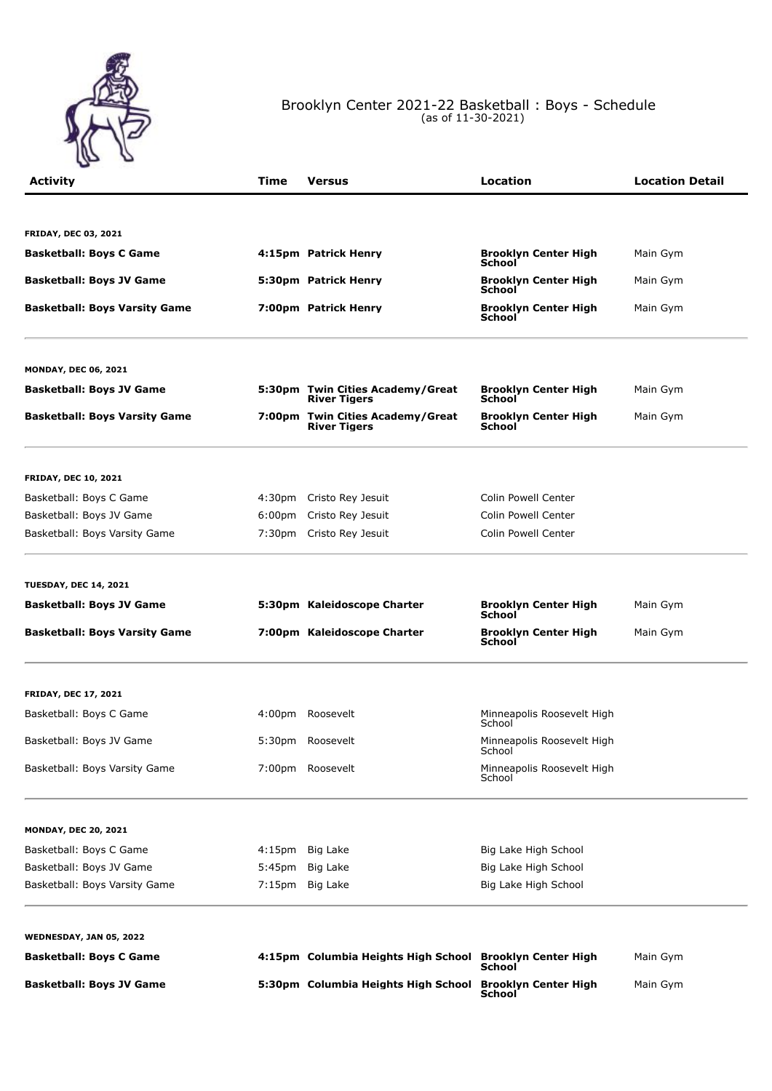

## Brooklyn Center 2021-22 Basketball : Boys - Schedule (as of 11-30-2021)

| <b>Activity</b>                      | Time               | <b>Versus</b>                                            | Location                                     | <b>Location Detail</b> |
|--------------------------------------|--------------------|----------------------------------------------------------|----------------------------------------------|------------------------|
|                                      |                    |                                                          |                                              |                        |
| <b>FRIDAY, DEC 03, 2021</b>          |                    |                                                          |                                              |                        |
| <b>Basketball: Boys C Game</b>       |                    | 4:15pm Patrick Henry                                     | <b>Brooklyn Center High</b><br>School        | Main Gym               |
| <b>Basketball: Boys JV Game</b>      |                    | 5:30pm Patrick Henry                                     | <b>Brooklyn Center High</b><br><b>School</b> | Main Gym               |
| <b>Basketball: Boys Varsity Game</b> |                    | 7:00pm Patrick Henry                                     | <b>Brooklyn Center High</b><br>School        | Main Gym               |
| <b>MONDAY, DEC 06, 2021</b>          |                    |                                                          |                                              |                        |
| <b>Basketball: Boys JV Game</b>      |                    | 5:30pm Twin Cities Academy/Great<br><b>River Tigers</b>  | <b>Brooklyn Center High</b><br><b>School</b> | Main Gym               |
| <b>Basketball: Boys Varsity Game</b> |                    | 7:00pm Twin Cities Academy/Great<br><b>River Tigers</b>  | <b>Brooklyn Center High</b><br>School        | Main Gym               |
| <b>FRIDAY, DEC 10, 2021</b>          |                    |                                                          |                                              |                        |
| Basketball: Boys C Game              |                    | 4:30pm Cristo Rey Jesuit                                 | Colin Powell Center                          |                        |
| Basketball: Boys JV Game             | 6:00pm             | Cristo Rey Jesuit                                        | Colin Powell Center                          |                        |
| Basketball: Boys Varsity Game        | 7:30pm             | Cristo Rey Jesuit                                        | Colin Powell Center                          |                        |
| <b>TUESDAY, DEC 14, 2021</b>         |                    |                                                          |                                              |                        |
| <b>Basketball: Boys JV Game</b>      |                    | 5:30pm Kaleidoscope Charter                              | <b>Brooklyn Center High</b><br><b>School</b> | Main Gym               |
| <b>Basketball: Boys Varsity Game</b> |                    | 7:00pm Kaleidoscope Charter                              | <b>Brooklyn Center High</b><br>School        | Main Gym               |
| <b>FRIDAY, DEC 17, 2021</b>          |                    |                                                          |                                              |                        |
| Basketball: Boys C Game              |                    | 4:00pm Roosevelt                                         | Minneapolis Roosevelt High<br>School         |                        |
| Basketball: Boys JV Game             | 5:30 <sub>pm</sub> | Roosevelt                                                | Minneapolis Roosevelt High<br>School         |                        |
| Basketball: Boys Varsity Game        |                    | 7:00pm Roosevelt                                         | Minneapolis Roosevelt High<br>School         |                        |
| <b>MONDAY, DEC 20, 2021</b>          |                    |                                                          |                                              |                        |
| Basketball: Boys C Game              |                    | 4:15pm Big Lake                                          | Big Lake High School                         |                        |
| Basketball: Boys JV Game             | 5:45pm             | Big Lake                                                 | Big Lake High School                         |                        |
| Basketball: Boys Varsity Game        |                    | 7:15pm Big Lake                                          | Big Lake High School                         |                        |
| <b>WEDNESDAY, JAN 05, 2022</b>       |                    |                                                          |                                              |                        |
| <b>Basketball: Boys C Game</b>       |                    | 4:15pm Columbia Heights High School Brooklyn Center High | School                                       | Main Gym               |
| <b>Basketball: Boys JV Game</b>      |                    | 5:30pm Columbia Heights High School                      | <b>Brooklyn Center High</b><br>School        | Main Gym               |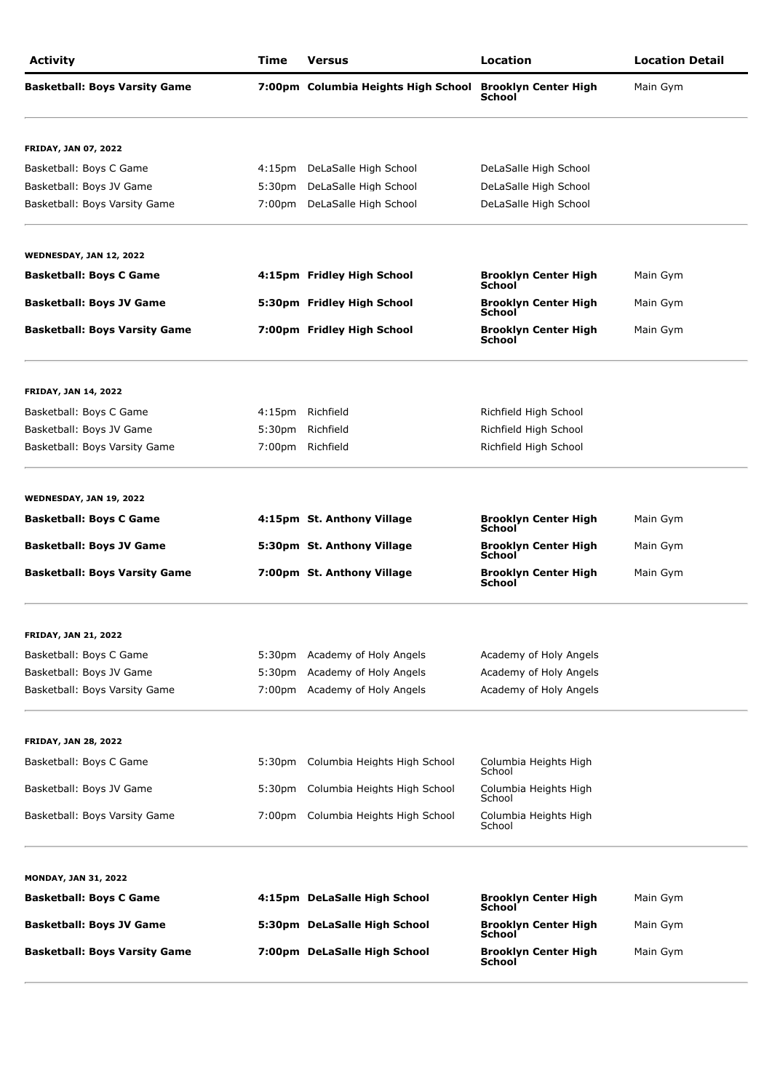| <b>Activity</b>                      | Time               | <b>Versus</b>                       | Location                                     | <b>Location Detail</b> |
|--------------------------------------|--------------------|-------------------------------------|----------------------------------------------|------------------------|
| <b>Basketball: Boys Varsity Game</b> |                    | 7:00pm Columbia Heights High School | <b>Brooklyn Center High</b><br><b>School</b> | Main Gym               |
| <b>FRIDAY, JAN 07, 2022</b>          |                    |                                     |                                              |                        |
| Basketball: Boys C Game              | 4:15pm             | DeLaSalle High School               | DeLaSalle High School                        |                        |
| Basketball: Boys JV Game             | 5:30 <sub>pm</sub> | DeLaSalle High School               | DeLaSalle High School                        |                        |
| Basketball: Boys Varsity Game        | 7:00pm             | DeLaSalle High School               | DeLaSalle High School                        |                        |
| <b>WEDNESDAY, JAN 12, 2022</b>       |                    |                                     |                                              |                        |
| <b>Basketball: Boys C Game</b>       |                    | 4:15pm Fridley High School          | <b>Brooklyn Center High</b><br><b>School</b> | Main Gym               |
| <b>Basketball: Boys JV Game</b>      |                    | 5:30pm Fridley High School          | <b>Brooklyn Center High</b><br><b>School</b> | Main Gym               |
| <b>Basketball: Boys Varsity Game</b> |                    | 7:00pm Fridley High School          | <b>Brooklyn Center High</b><br><b>School</b> | Main Gym               |
| <b>FRIDAY, JAN 14, 2022</b>          |                    |                                     |                                              |                        |
| Basketball: Boys C Game              | 4:15pm             | Richfield                           | Richfield High School                        |                        |
| Basketball: Boys JV Game             | 5:30 <sub>pm</sub> | Richfield                           | Richfield High School                        |                        |
| Basketball: Boys Varsity Game        |                    | 7:00pm Richfield                    | Richfield High School                        |                        |
| <b>WEDNESDAY, JAN 19, 2022</b>       |                    |                                     |                                              |                        |
| <b>Basketball: Boys C Game</b>       |                    | 4:15pm St. Anthony Village          | <b>Brooklyn Center High</b><br><b>School</b> | Main Gym               |
| <b>Basketball: Boys JV Game</b>      |                    | 5:30pm St. Anthony Village          | <b>Brooklyn Center High</b><br><b>School</b> | Main Gym               |
| <b>Basketball: Boys Varsity Game</b> |                    | 7:00pm St. Anthony Village          | <b>Brooklyn Center High</b><br><b>School</b> | Main Gym               |
| <b>FRIDAY, JAN 21, 2022</b>          |                    |                                     |                                              |                        |
| Basketball: Boys C Game              |                    | 5:30pm Academy of Holy Angels       | Academy of Holy Angels                       |                        |
| Basketball: Boys JV Game             |                    | 5:30pm Academy of Holy Angels       | Academy of Holy Angels                       |                        |
| Basketball: Boys Varsity Game        |                    | 7:00pm Academy of Holy Angels       | Academy of Holy Angels                       |                        |
| <b>FRIDAY, JAN 28, 2022</b>          |                    |                                     |                                              |                        |
| Basketball: Boys C Game              |                    | 5:30pm Columbia Heights High School | Columbia Heights High<br>School              |                        |
| Basketball: Boys JV Game             |                    | 5:30pm Columbia Heights High School | Columbia Heights High<br>School              |                        |
| Basketball: Boys Varsity Game        |                    | 7:00pm Columbia Heights High School | Columbia Heights High<br>School              |                        |
| <b>MONDAY, JAN 31, 2022</b>          |                    |                                     |                                              |                        |
| <b>Basketball: Boys C Game</b>       |                    | 4:15pm DeLaSalle High School        | <b>Brooklyn Center High</b><br>School        | Main Gym               |
| <b>Basketball: Boys JV Game</b>      |                    | 5:30pm DeLaSalle High School        | <b>Brooklyn Center High</b><br>School        | Main Gym               |
| <b>Basketball: Boys Varsity Game</b> |                    | 7:00pm DeLaSalle High School        | <b>Brooklyn Center High</b><br>School        | Main Gym               |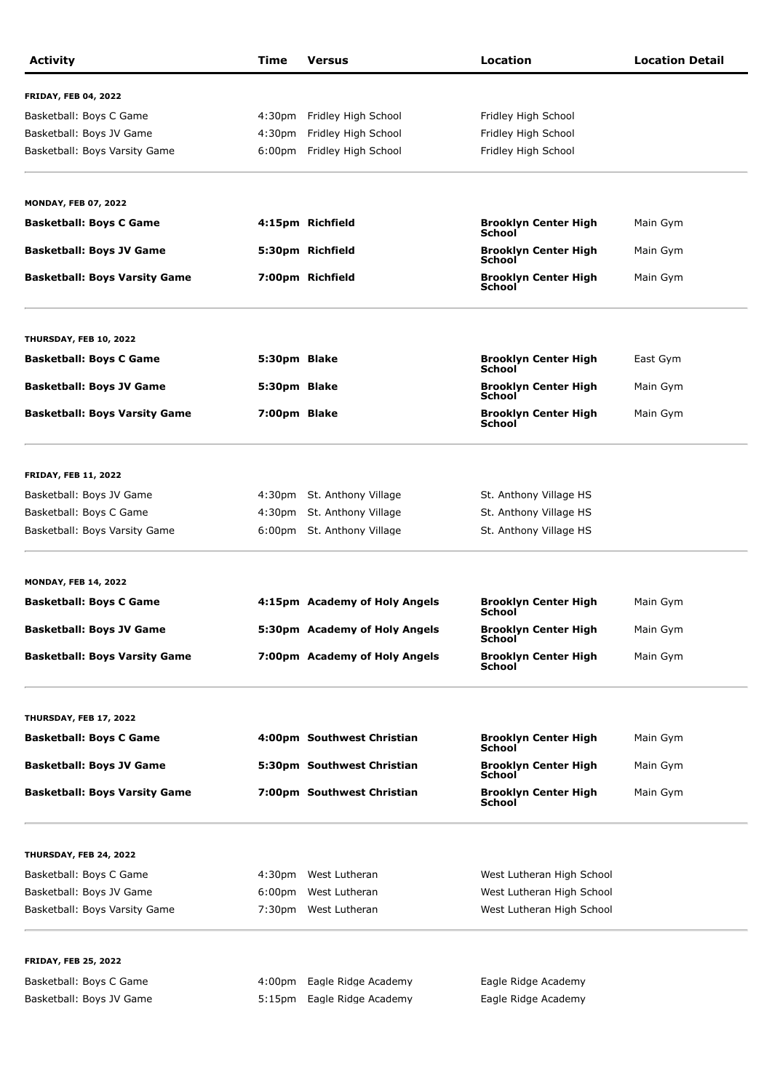| <b>Activity</b>                      | Time               | <b>Versus</b>                 | Location                                           | <b>Location Detail</b> |
|--------------------------------------|--------------------|-------------------------------|----------------------------------------------------|------------------------|
| <b>FRIDAY, FEB 04, 2022</b>          |                    |                               |                                                    |                        |
| Basketball: Boys C Game              | 4:30 <sub>pm</sub> | Fridley High School           | Fridley High School                                |                        |
| Basketball: Boys JV Game             | 4:30 <sub>pm</sub> | Fridley High School           | Fridley High School                                |                        |
| Basketball: Boys Varsity Game        |                    | 6:00pm Fridley High School    | Fridley High School                                |                        |
| <b>MONDAY, FEB 07, 2022</b>          |                    |                               |                                                    |                        |
| <b>Basketball: Boys C Game</b>       |                    | 4:15pm Richfield              | <b>Brooklyn Center High</b>                        | Main Gym               |
| <b>Basketball: Boys JV Game</b>      |                    | 5:30pm Richfield              | School<br><b>Brooklyn Center High</b>              | Main Gym               |
| <b>Basketball: Boys Varsity Game</b> |                    | 7:00pm Richfield              | <b>School</b><br><b>Brooklyn Center High</b>       | Main Gym               |
|                                      |                    |                               | School                                             |                        |
| THURSDAY, FEB 10, 2022               |                    |                               |                                                    |                        |
| <b>Basketball: Boys C Game</b>       | 5:30pm Blake       |                               | <b>Brooklyn Center High</b><br><b>School</b>       | East Gym               |
| <b>Basketball: Boys JV Game</b>      | 5:30pm Blake       |                               | <b>Brooklyn Center High</b><br>School              | Main Gym               |
| <b>Basketball: Boys Varsity Game</b> | 7:00pm Blake       |                               | <b>Brooklyn Center High</b><br><b>School</b>       | Main Gym               |
| <b>FRIDAY, FEB 11, 2022</b>          |                    |                               |                                                    |                        |
| Basketball: Boys JV Game             |                    | 4:30pm St. Anthony Village    | St. Anthony Village HS                             |                        |
| Basketball: Boys C Game              | 4:30pm             | St. Anthony Village           | St. Anthony Village HS                             |                        |
| Basketball: Boys Varsity Game        |                    | 6:00pm St. Anthony Village    | St. Anthony Village HS                             |                        |
| <b>MONDAY, FEB 14, 2022</b>          |                    |                               |                                                    |                        |
| <b>Basketball: Boys C Game</b>       |                    | 4:15pm Academy of Holy Angels | <b>Brooklyn Center High</b><br>School              | Main Gym               |
| Basketball: Boys JV Game             |                    | 5:30pm Academy of Holy Angels | <b>Brooklyn Center High</b><br><b>School</b>       | Main Gym               |
| <b>Basketball: Boys Varsity Game</b> |                    | 7:00pm Academy of Holy Angels | <b>Brooklyn Center High<br/>School</b>             | Main Gym               |
| THURSDAY, FEB 17, 2022               |                    |                               |                                                    |                        |
| <b>Basketball: Boys C Game</b>       |                    | 4:00pm Southwest Christian    | <b>Brooklyn Center High</b><br>School <sup>-</sup> | Main Gym               |
| <b>Basketball: Boys JV Game</b>      |                    | 5:30pm Southwest Christian    | <b>Brooklyn Center High</b><br>School              | Main Gym               |
| <b>Basketball: Boys Varsity Game</b> |                    | 7:00pm Southwest Christian    | <b>Brooklyn Center High</b><br>School              | Main Gym               |
| THURSDAY, FEB 24, 2022               |                    |                               |                                                    |                        |
| Basketball: Boys C Game              |                    | 4:30pm West Lutheran          | West Lutheran High School                          |                        |
| Basketball: Boys JV Game             | 6:00 <sub>pm</sub> | West Lutheran                 | West Lutheran High School                          |                        |
| Basketball: Boys Varsity Game        |                    | 7:30pm West Lutheran          | West Lutheran High School                          |                        |
| <b>FRIDAY, FEB 25, 2022</b>          |                    |                               |                                                    |                        |
| Basketball: Boys C Game              | 4:00pm             | Eagle Ridge Academy           | Eagle Ridge Academy                                |                        |
| Basketball: Boys JV Game             |                    | 5:15pm Eagle Ridge Academy    | Eagle Ridge Academy                                |                        |